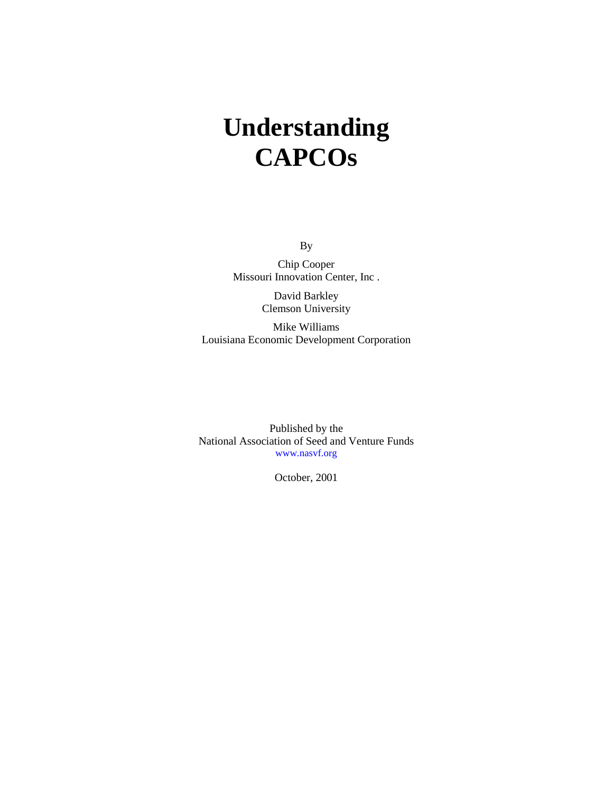# **Understanding CAPCOs**

By

Chip Cooper Missouri Innovation Center, Inc .

> David Barkley Clemson University

Mike Williams Louisiana Economic Development Corporation

Published by the National Association of Seed and Venture Funds www.nasvf.org

October, 2001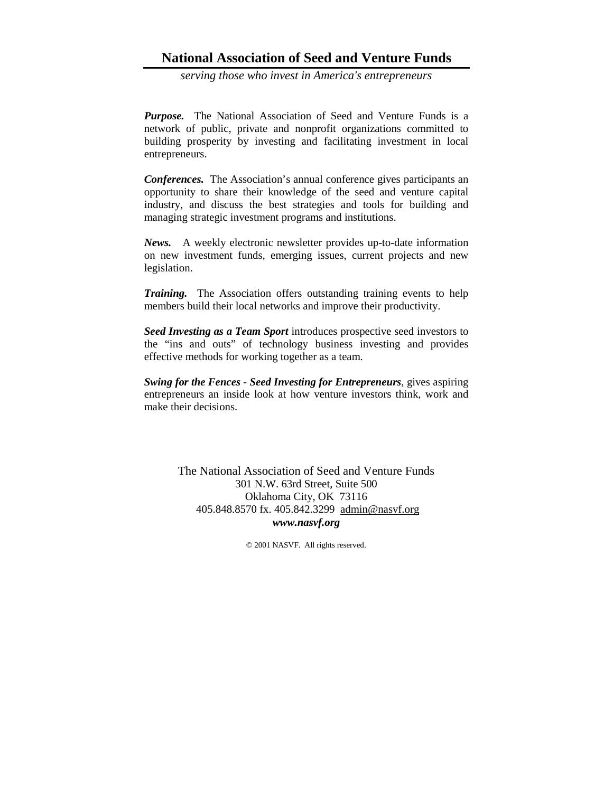## **National Association of Seed and Venture Funds**

*serving those who invest in America's entrepreneurs*

*Purpose.* The National Association of Seed and Venture Funds is a network of public, private and nonprofit organizations committed to building prosperity by investing and facilitating investment in local entrepreneurs.

*Conferences.* The Association's annual conference gives participants an opportunity to share their knowledge of the seed and venture capital industry, and discuss the best strategies and tools for building and managing strategic investment programs and institutions.

*News.* A weekly electronic newsletter provides up-to-date information on new investment funds, emerging issues, current projects and new legislation.

*Training.* The Association offers outstanding training events to help members build their local networks and improve their productivity.

*Seed Investing as a Team Sport* introduces prospective seed investors to the "ins and outs" of technology business investing and provides effective methods for working together as a team.

*Swing for the Fences - Seed Investing for Entrepreneurs,* gives aspiring entrepreneurs an inside look at how venture investors think, work and make their decisions.

> The National Association of Seed and Venture Funds 301 N.W. 63rd Street, Suite 500 Oklahoma City, OK 73116 405.848.8570 fx. 405.842.3299 admin@nasvf.org *www.nasvf.org*

> > © 2001 NASVF. All rights reserved.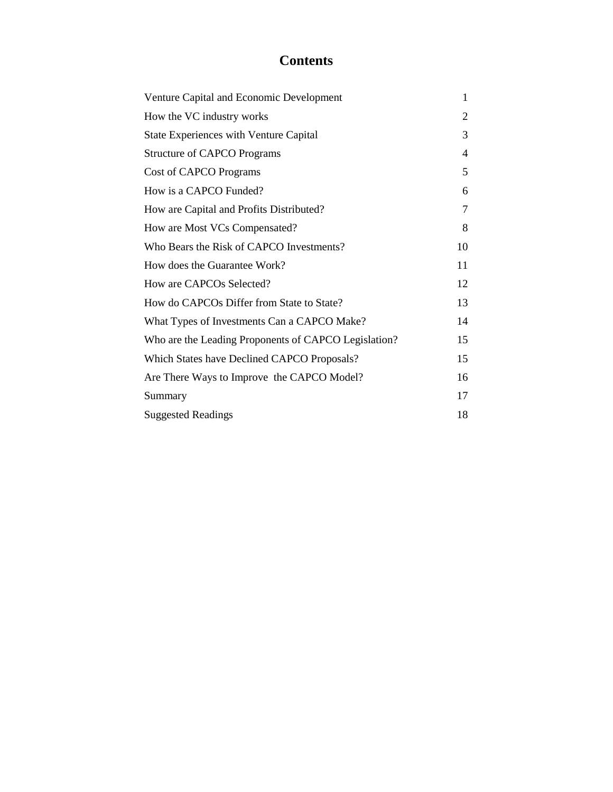# **Contents**

| Venture Capital and Economic Development             | 1      |
|------------------------------------------------------|--------|
| How the VC industry works                            | 2      |
| <b>State Experiences with Venture Capital</b>        | 3      |
| <b>Structure of CAPCO Programs</b>                   | 4      |
| Cost of CAPCO Programs                               | 5      |
| How is a CAPCO Funded?                               | 6      |
| How are Capital and Profits Distributed?             | $\tau$ |
| How are Most VCs Compensated?                        | 8      |
| Who Bears the Risk of CAPCO Investments?             | 10     |
| How does the Guarantee Work?                         | 11     |
| How are CAPCOs Selected?                             | 12     |
| How do CAPCOs Differ from State to State?            | 13     |
| What Types of Investments Can a CAPCO Make?          | 14     |
| Who are the Leading Proponents of CAPCO Legislation? | 15     |
| Which States have Declined CAPCO Proposals?          | 15     |
| Are There Ways to Improve the CAPCO Model?           | 16     |
| Summary                                              | 17     |
| <b>Suggested Readings</b>                            | 18     |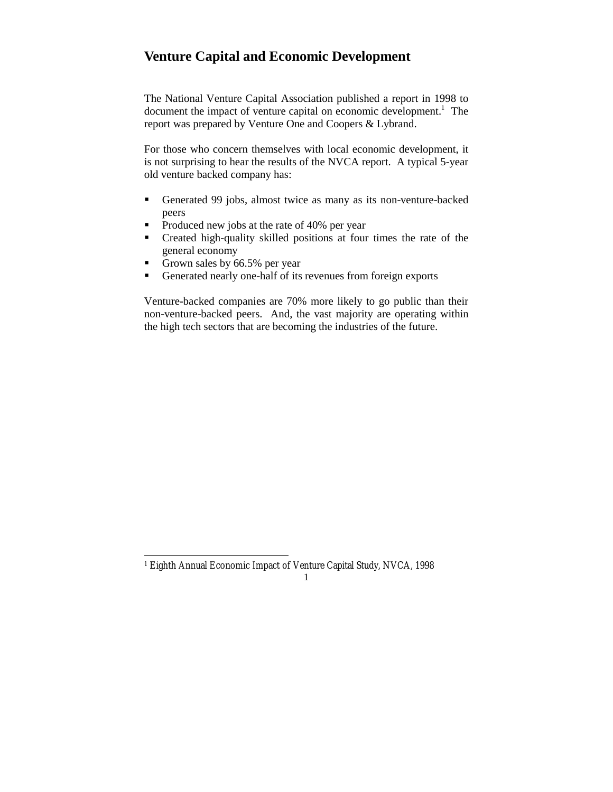# **Venture Capital and Economic Development**

The National Venture Capital Association published a report in 1998 to document the impact of venture capital on economic development.<sup>1</sup> The report was prepared by Venture One and Coopers & Lybrand.

For those who concern themselves with local economic development, it is not surprising to hear the results of the NVCA report. A typical 5-year old venture backed company has:

- Generated 99 jobs, almost twice as many as its non-venture-backed peers
- Produced new jobs at the rate of 40% per year
- Created high-quality skilled positions at four times the rate of the general economy
- Grown sales by 66.5% per year

 $\overline{a}$ 

Generated nearly one-half of its revenues from foreign exports

Venture-backed companies are 70% more likely to go public than their non-venture-backed peers. And, the vast majority are operating within the high tech sectors that are becoming the industries of the future.

<sup>1</sup> Eighth Annual Economic Impact of Venture Capital Study, NVCA, 1998

<sup>1</sup>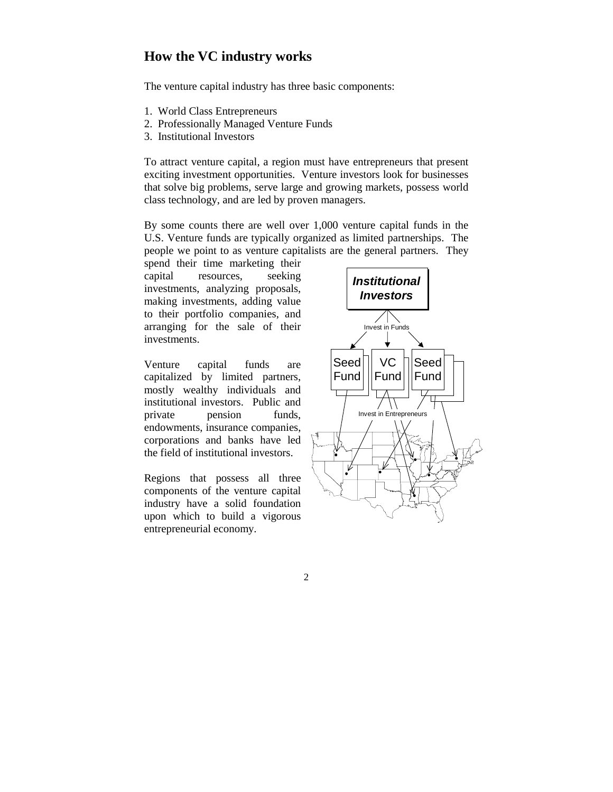#### **How the VC industry works**

The venture capital industry has three basic components:

- 1. World Class Entrepreneurs
- 2. Professionally Managed Venture Funds
- 3. Institutional Investors

To attract venture capital, a region must have entrepreneurs that present exciting investment opportunities. Venture investors look for businesses that solve big problems, serve large and growing markets, possess world class technology, and are led by proven managers.

By some counts there are well over 1,000 venture capital funds in the U.S. Venture funds are typically organized as limited partnerships. The people we point to as venture capitalists are the general partners. They

spend their time marketing their capital resources, seeking investments, analyzing proposals, making investments, adding value to their portfolio companies, and arranging for the sale of their investments.

Venture capital funds are capitalized by limited partners, mostly wealthy individuals and institutional investors. Public and private pension funds, endowments, insurance companies, corporations and banks have led the field of institutional investors.

Regions that possess all three components of the venture capital industry have a solid foundation upon which to build a vigorous entrepreneurial economy.

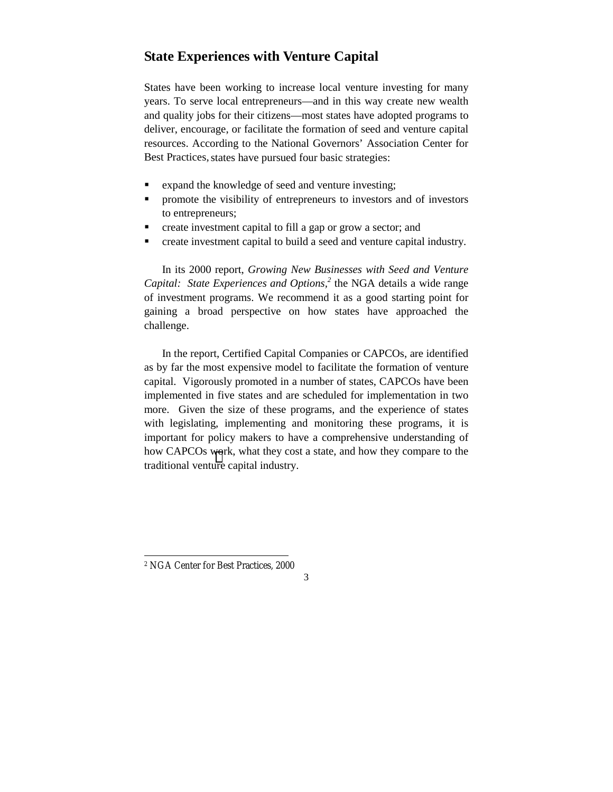## **State Experiences with Venture Capital**

States have been working to increase local venture investing for many years. To serve local entrepreneurs—and in this way create new wealth and quality jobs for their citizens—most states have adopted programs to deliver, encourage, or facilitate the formation of seed and venture capital resources. According to the National Governors' Association Center for Best Practices, states have pursued four basic strategies:

- expand the knowledge of seed and venture investing;
- **•** promote the visibility of entrepreneurs to investors and of investors to entrepreneurs;
- create investment capital to fill a gap or grow a sector; and
- create investment capital to build a seed and venture capital industry.

In its 2000 report, *Growing New Businesses with Seed and Venture* Capital: State Experiences and Options,<sup>2</sup> the NGA details a wide range of investment programs. We recommend it as a good starting point for gaining a broad perspective on how states have approached the challenge.

In the report, Certified Capital Companies or CAPCOs, are identified as by far the most expensive model to facilitate the formation of venture capital. Vigorously promoted in a number of states, CAPCOs have been implemented in five states and are scheduled for implementation in two more. Given the size of these programs, and the experience of states with legislating, implementing and monitoring these programs, it is important for policy makers to have a comprehensive understanding of how CAPCOs work, what they cost a state, and how they compare to the traditional venture capital industry.

 $\overline{a}$ 

<sup>2</sup> NGA Center for Best Practices, 2000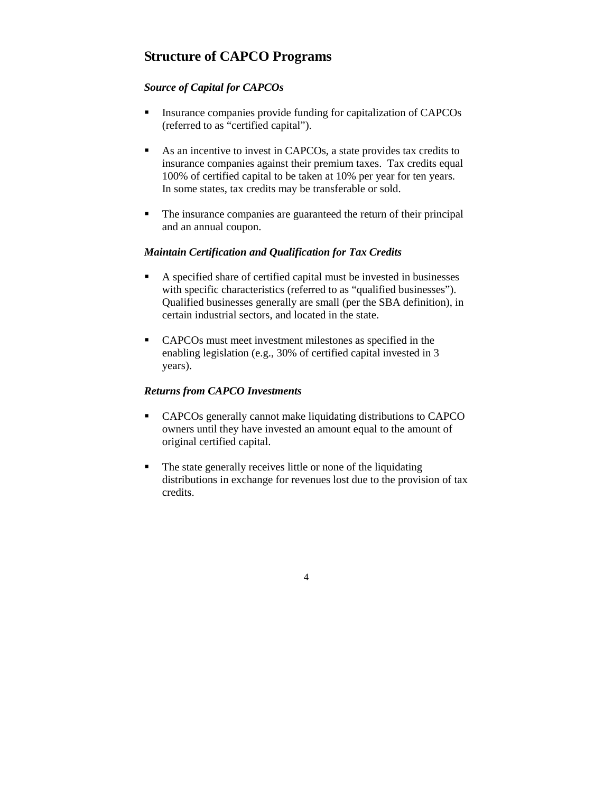## **Structure of CAPCO Programs**

#### *Source of Capital for CAPCOs*

- **Insurance companies provide funding for capitalization of CAPCOs** (referred to as "certified capital").
- As an incentive to invest in CAPCOs, a state provides tax credits to insurance companies against their premium taxes. Tax credits equal 100% of certified capital to be taken at 10% per year for ten years. In some states, tax credits may be transferable or sold.
- The insurance companies are guaranteed the return of their principal and an annual coupon.

#### *Maintain Certification and Qualification for Tax Credits*

- A specified share of certified capital must be invested in businesses with specific characteristics (referred to as "qualified businesses"). Qualified businesses generally are small (per the SBA definition), in certain industrial sectors, and located in the state.
- CAPCOs must meet investment milestones as specified in the enabling legislation (e.g., 30% of certified capital invested in 3 years).

#### *Returns from CAPCO Investments*

- CAPCOs generally cannot make liquidating distributions to CAPCO owners until they have invested an amount equal to the amount of original certified capital.
- The state generally receives little or none of the liquidating distributions in exchange for revenues lost due to the provision of tax credits.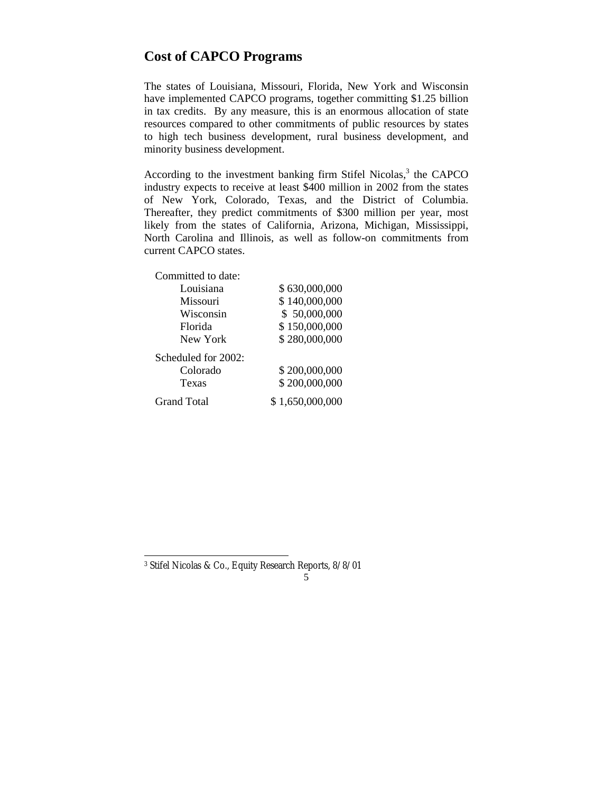## **Cost of CAPCO Programs**

The states of Louisiana, Missouri, Florida, New York and Wisconsin have implemented CAPCO programs, together committing \$1.25 billion in tax credits. By any measure, this is an enormous allocation of state resources compared to other commitments of public resources by states to high tech business development, rural business development, and minority business development.

According to the investment banking firm Stifel Nicolas, $3$  the CAPCO industry expects to receive at least \$400 million in 2002 from the states of New York, Colorado, Texas, and the District of Columbia. Thereafter, they predict commitments of \$300 million per year, most likely from the states of California, Arizona, Michigan, Mississippi, North Carolina and Illinois, as well as follow-on commitments from current CAPCO states.

| Committed to date:  |                 |
|---------------------|-----------------|
| Louisiana           | \$630,000,000   |
| Missouri            | \$140,000,000   |
| Wisconsin           | \$50,000,000    |
| Florida             | \$150,000,000   |
| New York            | \$280,000,000   |
| Scheduled for 2002: |                 |
| Colorado            | \$200,000,000   |
| Texas               | \$200,000,000   |
| Grand Total         | \$1,650,000,000 |

 $\overline{a}$ 

<sup>5</sup> 3 Stifel Nicolas & Co., Equity Research Reports, 8/8/01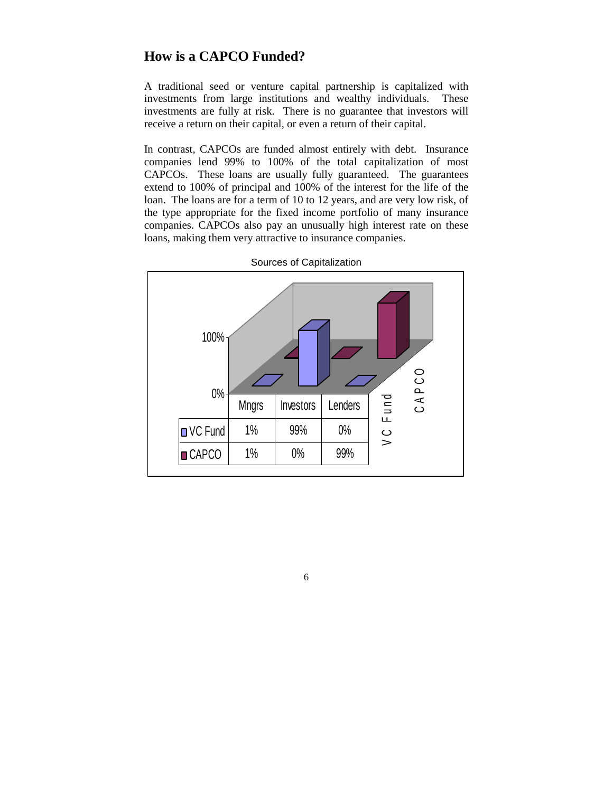## **How is a CAPCO Funded?**

A traditional seed or venture capital partnership is capitalized with investments from large institutions and wealthy individuals. These investments are fully at risk. There is no guarantee that investors will receive a return on their capital, or even a return of their capital.

In contrast, CAPCOs are funded almost entirely with debt. Insurance companies lend 99% to 100% of the total capitalization of most CAPCOs. These loans are usually fully guaranteed. The guarantees extend to 100% of principal and 100% of the interest for the life of the loan. The loans are for a term of 10 to 12 years, and are very low risk, of the type appropriate for the fixed income portfolio of many insurance companies. CAPCOs also pay an unusually high interest rate on these loans, making them very attractive to insurance companies.



Sources of Capitalization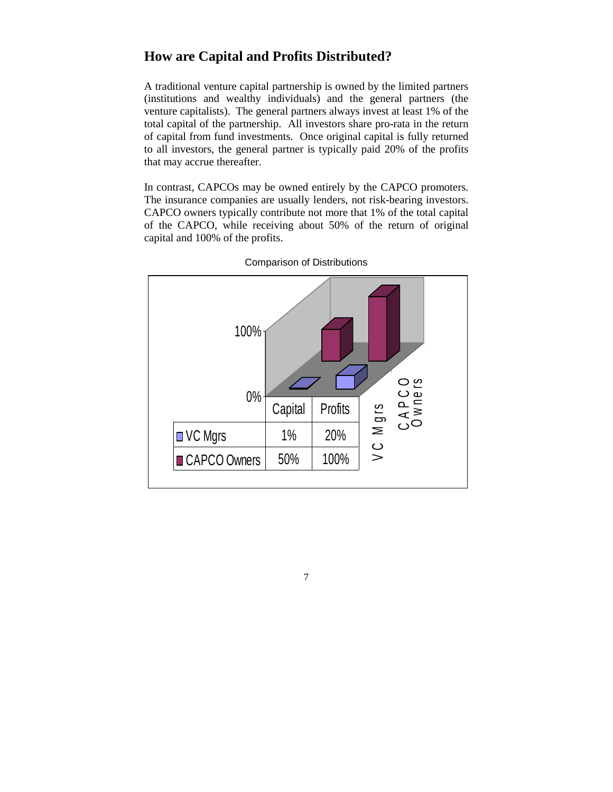## **How are Capital and Profits Distributed?**

A traditional venture capital partnership is owned by the limited partners (institutions and wealthy individuals) and the general partners (the venture capitalists). The general partners always invest at least 1% of the total capital of the partnership. All investors share pro-rata in the return of capital from fund investments. Once original capital is fully returned to all investors, the general partner is typically paid 20% of the profits that may accrue thereafter.

In contrast, CAPCOs may be owned entirely by the CAPCO promoters. The insurance companies are usually lenders, not risk-bearing investors. CAPCO owners typically contribute not more that 1% of the total capital of the CAPCO, while receiving about 50% of the return of original capital and 100% of the profits.



Comparison of Distributions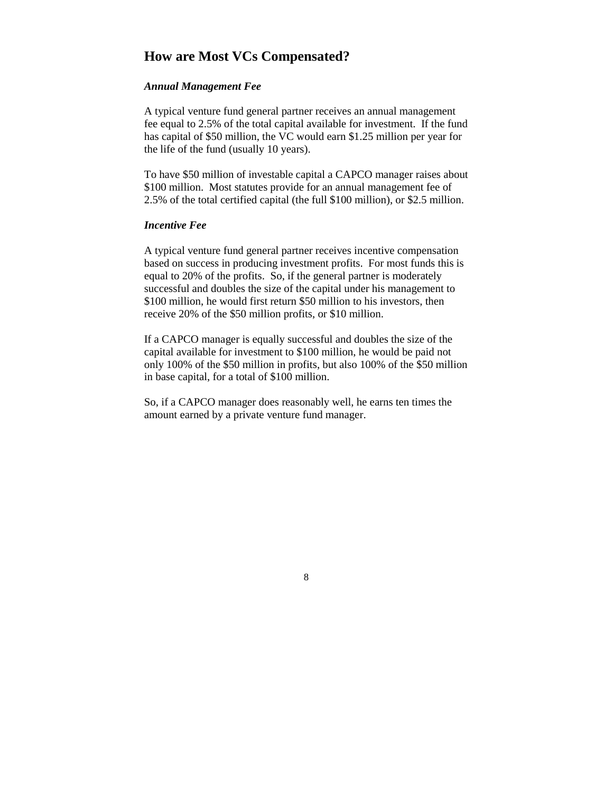#### **How are Most VCs Compensated?**

#### *Annual Management Fee*

A typical venture fund general partner receives an annual management fee equal to 2.5% of the total capital available for investment. If the fund has capital of \$50 million, the VC would earn \$1.25 million per year for the life of the fund (usually 10 years).

To have \$50 million of investable capital a CAPCO manager raises about \$100 million. Most statutes provide for an annual management fee of 2.5% of the total certified capital (the full \$100 million), or \$2.5 million.

#### *Incentive Fee*

A typical venture fund general partner receives incentive compensation based on success in producing investment profits. For most funds this is equal to 20% of the profits. So, if the general partner is moderately successful and doubles the size of the capital under his management to \$100 million, he would first return \$50 million to his investors, then receive 20% of the \$50 million profits, or \$10 million.

If a CAPCO manager is equally successful and doubles the size of the capital available for investment to \$100 million, he would be paid not only 100% of the \$50 million in profits, but also 100% of the \$50 million in base capital, for a total of \$100 million.

So, if a CAPCO manager does reasonably well, he earns ten times the amount earned by a private venture fund manager.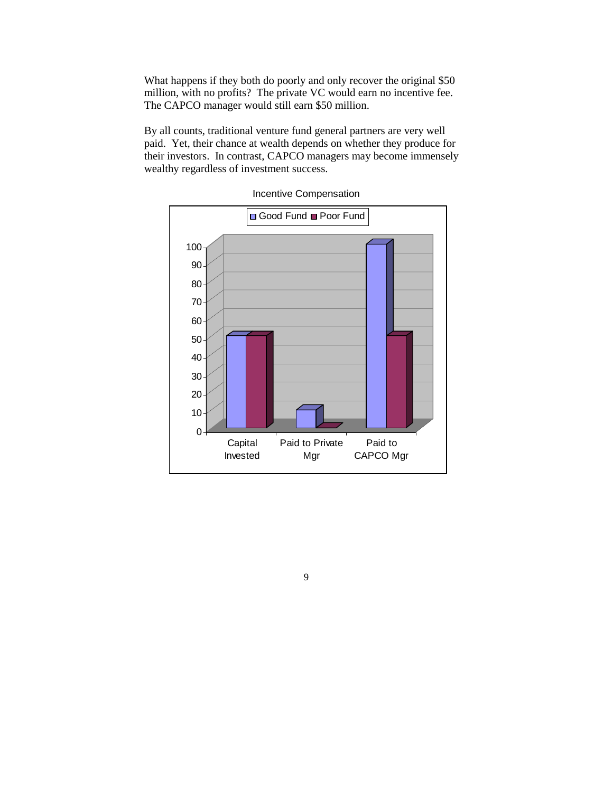What happens if they both do poorly and only recover the original \$50 million, with no profits? The private VC would earn no incentive fee. The CAPCO manager would still earn \$50 million.

By all counts, traditional venture fund general partners are very well paid. Yet, their chance at wealth depends on whether they produce for their investors. In contrast, CAPCO managers may become immensely wealthy regardless of investment success.



Incentive Compensation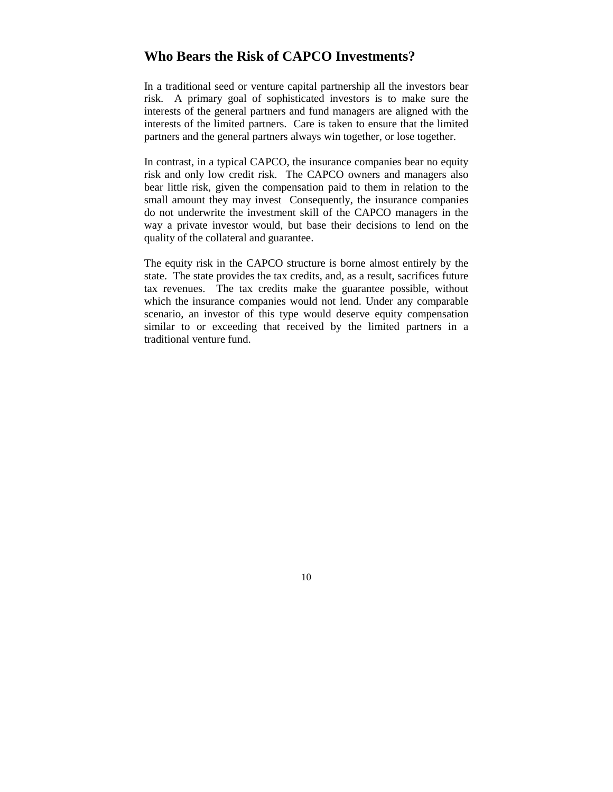#### **Who Bears the Risk of CAPCO Investments?**

In a traditional seed or venture capital partnership all the investors bear risk. A primary goal of sophisticated investors is to make sure the interests of the general partners and fund managers are aligned with the interests of the limited partners. Care is taken to ensure that the limited partners and the general partners always win together, or lose together.

In contrast, in a typical CAPCO, the insurance companies bear no equity risk and only low credit risk. The CAPCO owners and managers also bear little risk, given the compensation paid to them in relation to the small amount they may invest Consequently, the insurance companies do not underwrite the investment skill of the CAPCO managers in the way a private investor would, but base their decisions to lend on the quality of the collateral and guarantee.

The equity risk in the CAPCO structure is borne almost entirely by the state. The state provides the tax credits, and, as a result, sacrifices future tax revenues. The tax credits make the guarantee possible, without which the insurance companies would not lend. Under any comparable scenario, an investor of this type would deserve equity compensation similar to or exceeding that received by the limited partners in a traditional venture fund.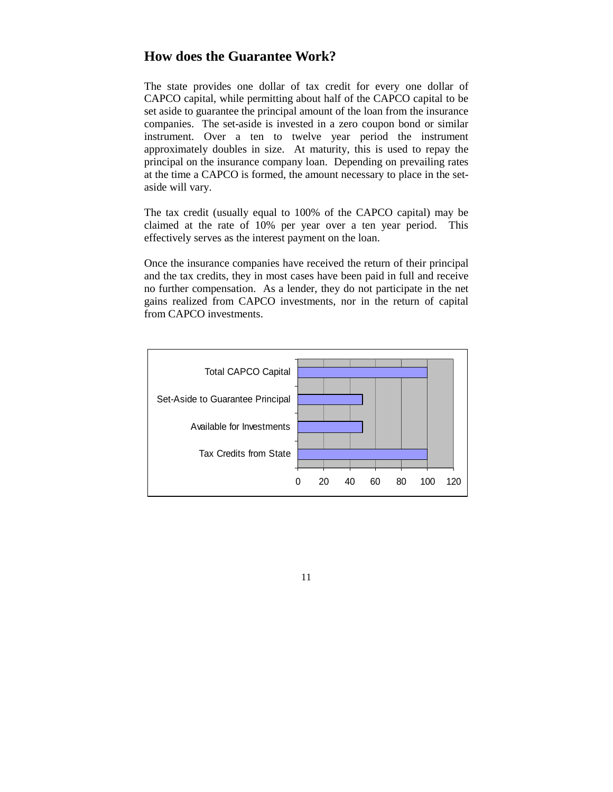## **How does the Guarantee Work?**

The state provides one dollar of tax credit for every one dollar of CAPCO capital, while permitting about half of the CAPCO capital to be set aside to guarantee the principal amount of the loan from the insurance companies. The set-aside is invested in a zero coupon bond or similar instrument. Over a ten to twelve year period the instrument approximately doubles in size. At maturity, this is used to repay the principal on the insurance company loan. Depending on prevailing rates at the time a CAPCO is formed, the amount necessary to place in the setaside will vary.

The tax credit (usually equal to 100% of the CAPCO capital) may be claimed at the rate of 10% per year over a ten year period. This effectively serves as the interest payment on the loan.

Once the insurance companies have received the return of their principal and the tax credits, they in most cases have been paid in full and receive no further compensation. As a lender, they do not participate in the net gains realized from CAPCO investments, nor in the return of capital from CAPCO investments.

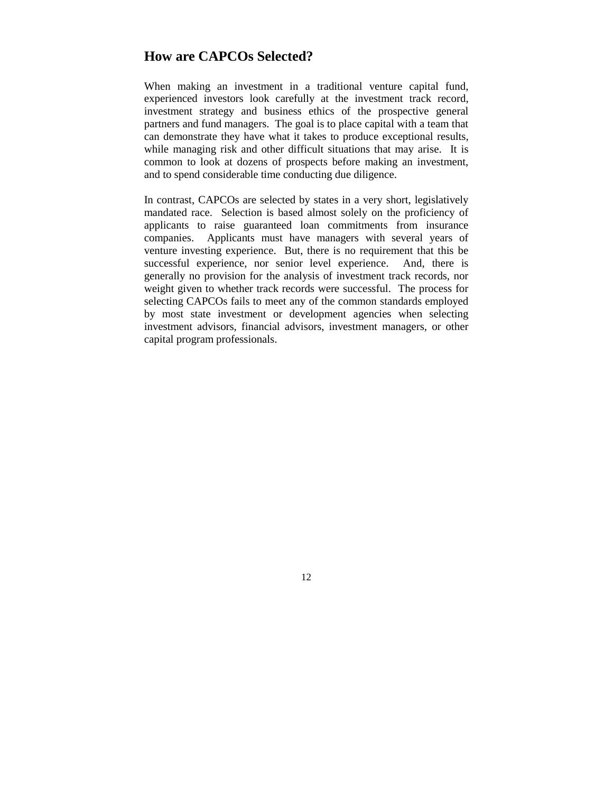#### **How are CAPCOs Selected?**

When making an investment in a traditional venture capital fund, experienced investors look carefully at the investment track record, investment strategy and business ethics of the prospective general partners and fund managers. The goal is to place capital with a team that can demonstrate they have what it takes to produce exceptional results, while managing risk and other difficult situations that may arise. It is common to look at dozens of prospects before making an investment, and to spend considerable time conducting due diligence.

In contrast, CAPCOs are selected by states in a very short, legislatively mandated race. Selection is based almost solely on the proficiency of applicants to raise guaranteed loan commitments from insurance companies. Applicants must have managers with several years of venture investing experience. But, there is no requirement that this be successful experience, nor senior level experience. And, there is generally no provision for the analysis of investment track records, nor weight given to whether track records were successful. The process for selecting CAPCOs fails to meet any of the common standards employed by most state investment or development agencies when selecting investment advisors, financial advisors, investment managers, or other capital program professionals.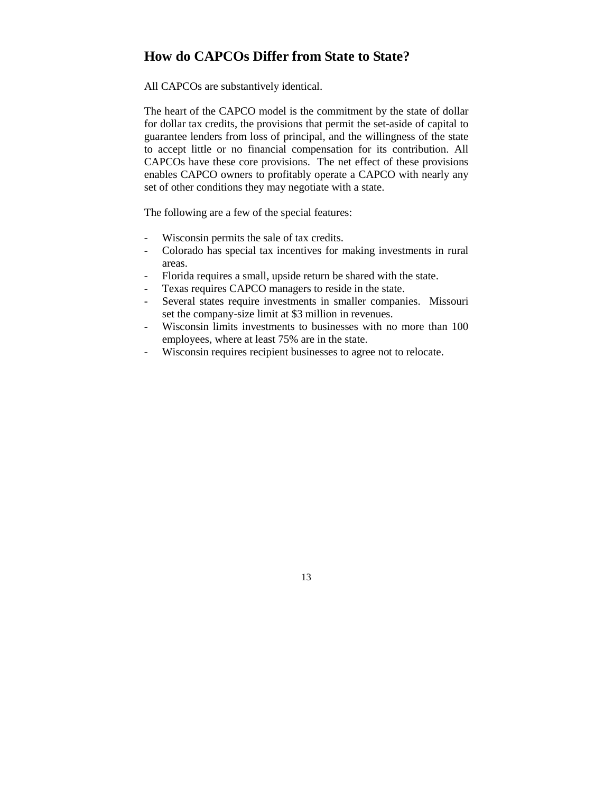## **How do CAPCOs Differ from State to State?**

All CAPCOs are substantively identical.

The heart of the CAPCO model is the commitment by the state of dollar for dollar tax credits, the provisions that permit the set-aside of capital to guarantee lenders from loss of principal, and the willingness of the state to accept little or no financial compensation for its contribution. All CAPCOs have these core provisions. The net effect of these provisions enables CAPCO owners to profitably operate a CAPCO with nearly any set of other conditions they may negotiate with a state.

The following are a few of the special features:

- Wisconsin permits the sale of tax credits.
- Colorado has special tax incentives for making investments in rural areas.
- Florida requires a small, upside return be shared with the state.
- Texas requires CAPCO managers to reside in the state.
- Several states require investments in smaller companies. Missouri set the company-size limit at \$3 million in revenues.
- Wisconsin limits investments to businesses with no more than 100 employees, where at least 75% are in the state.
- Wisconsin requires recipient businesses to agree not to relocate.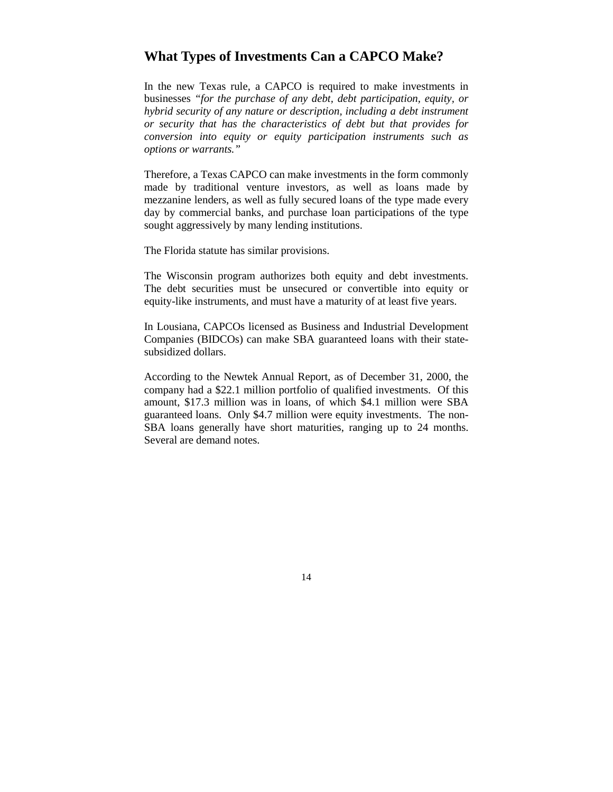#### **What Types of Investments Can a CAPCO Make?**

In the new Texas rule, a CAPCO is required to make investments in businesses *"for the purchase of any debt, debt participation, equity, or hybrid security of any nature or description, including a debt instrument or security that has the characteristics of debt but that provides for conversion into equity or equity participation instruments such as options or warrants."*

Therefore, a Texas CAPCO can make investments in the form commonly made by traditional venture investors, as well as loans made by mezzanine lenders, as well as fully secured loans of the type made every day by commercial banks, and purchase loan participations of the type sought aggressively by many lending institutions.

The Florida statute has similar provisions.

The Wisconsin program authorizes both equity and debt investments. The debt securities must be unsecured or convertible into equity or equity-like instruments, and must have a maturity of at least five years.

In Lousiana, CAPCOs licensed as Business and Industrial Development Companies (BIDCOs) can make SBA guaranteed loans with their statesubsidized dollars.

According to the Newtek Annual Report, as of December 31, 2000, the company had a \$22.1 million portfolio of qualified investments. Of this amount, \$17.3 million was in loans, of which \$4.1 million were SBA guaranteed loans. Only \$4.7 million were equity investments. The non-SBA loans generally have short maturities, ranging up to 24 months. Several are demand notes.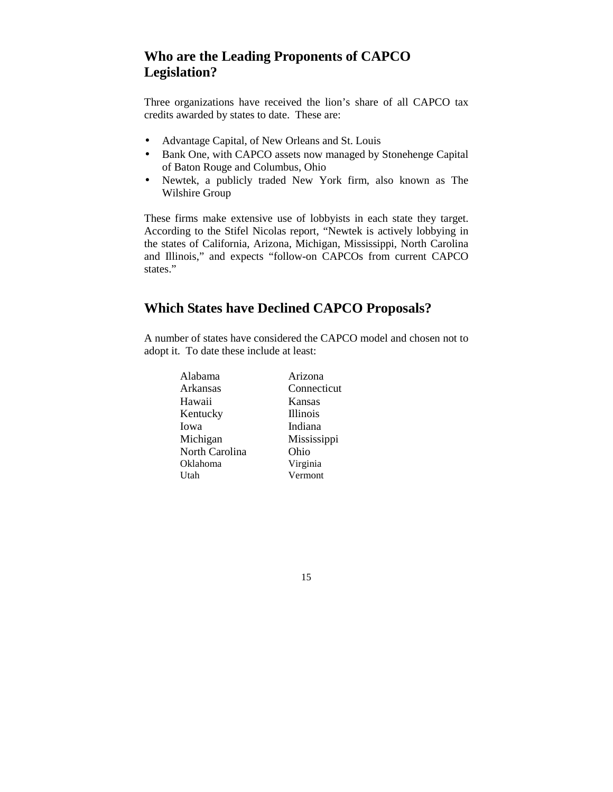# **Who are the Leading Proponents of CAPCO Legislation?**

Three organizations have received the lion's share of all CAPCO tax credits awarded by states to date. These are:

- Advantage Capital, of New Orleans and St. Louis
- Bank One, with CAPCO assets now managed by Stonehenge Capital of Baton Rouge and Columbus, Ohio
- Newtek, a publicly traded New York firm, also known as The Wilshire Group

These firms make extensive use of lobbyists in each state they target. According to the Stifel Nicolas report, "Newtek is actively lobbying in the states of California, Arizona, Michigan, Mississippi, North Carolina and Illinois," and expects "follow-on CAPCOs from current CAPCO states."

# **Which States have Declined CAPCO Proposals?**

A number of states have considered the CAPCO model and chosen not to adopt it. To date these include at least:

| Alabama        | Arizona         |
|----------------|-----------------|
| Arkansas       | Connecticut     |
| Hawaii         | Kansas          |
| Kentucky       | <b>Illinois</b> |
| Iowa           | Indiana         |
| Michigan       | Mississippi     |
| North Carolina | Ohio            |
| Oklahoma       | Virginia        |
| Utah           | Vermont         |
|                |                 |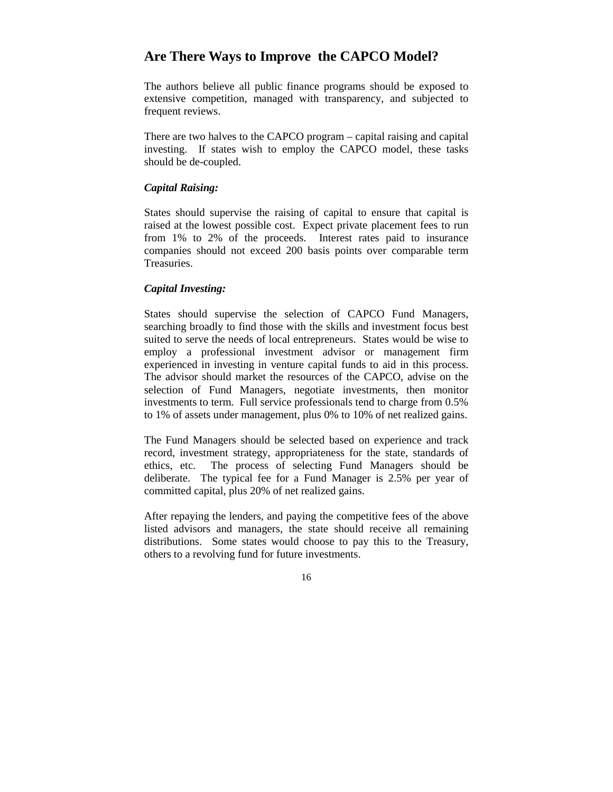## **Are There Ways to Improve the CAPCO Model?**

The authors believe all public finance programs should be exposed to extensive competition, managed with transparency, and subjected to frequent reviews.

There are two halves to the CAPCO program – capital raising and capital investing. If states wish to employ the CAPCO model, these tasks should be de-coupled.

#### *Capital Raising:*

States should supervise the raising of capital to ensure that capital is raised at the lowest possible cost. Expect private placement fees to run from 1% to 2% of the proceeds. Interest rates paid to insurance companies should not exceed 200 basis points over comparable term Treasuries.

#### *Capital Investing:*

States should supervise the selection of CAPCO Fund Managers, searching broadly to find those with the skills and investment focus best suited to serve the needs of local entrepreneurs. States would be wise to employ a professional investment advisor or management firm experienced in investing in venture capital funds to aid in this process. The advisor should market the resources of the CAPCO, advise on the selection of Fund Managers, negotiate investments, then monitor investments to term. Full service professionals tend to charge from 0.5% to 1% of assets under management, plus 0% to 10% of net realized gains.

The Fund Managers should be selected based on experience and track record, investment strategy, appropriateness for the state, standards of ethics, etc. The process of selecting Fund Managers should be deliberate. The typical fee for a Fund Manager is 2.5% per year of committed capital, plus 20% of net realized gains.

After repaying the lenders, and paying the competitive fees of the above listed advisors and managers, the state should receive all remaining distributions. Some states would choose to pay this to the Treasury, others to a revolving fund for future investments.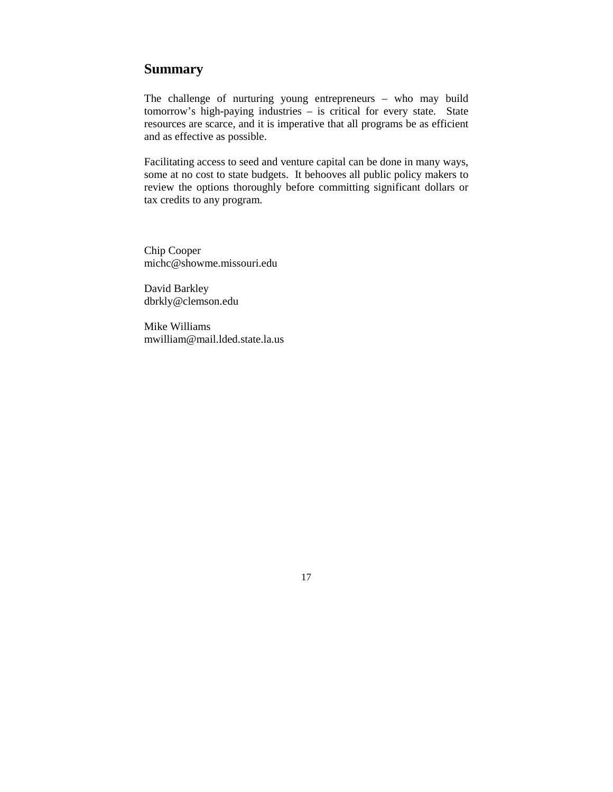## **Summary**

The challenge of nurturing young entrepreneurs – who may build tomorrow's high-paying industries – is critical for every state. State resources are scarce, and it is imperative that all programs be as efficient and as effective as possible.

Facilitating access to seed and venture capital can be done in many ways, some at no cost to state budgets. It behooves all public policy makers to review the options thoroughly before committing significant dollars or tax credits to any program.

Chip Cooper michc@showme.missouri.edu

David Barkley dbrkly@clemson.edu

Mike Williams mwilliam@mail.lded.state.la.us